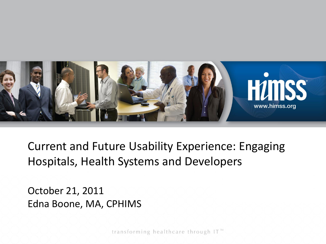

 Hospitals, Health Systems and Developers Current and Future Usability Experience: Engaging

October 21, 2011 Edna Boone, MA, CPHIMS

transforming healthcare through IT<sup>™</sup>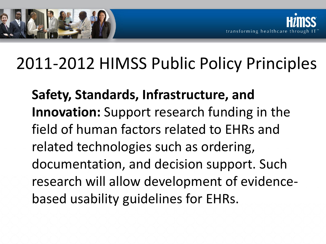

## 2011-2012 HIMSS Public Policy Principles

**Safety, Standards, Infrastructure, and Innovation:** Support research funding in the field of human factors related to EHRs and related technologies such as ordering, documentation, and decision support. Such research will allow development of evidencebased usability guidelines for EHRs.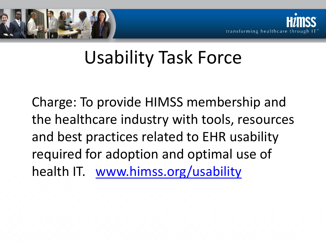



## Usability Task Force

Charge: To provide HIMSS membership and the healthcare industry with tools, resources and best practices related to EHR usability required for adoption and optimal use of health IT. www.himss.org/usability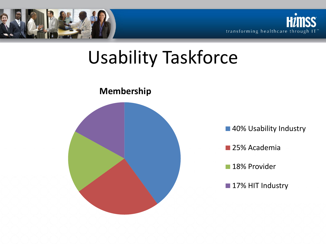



## Usability Taskforce

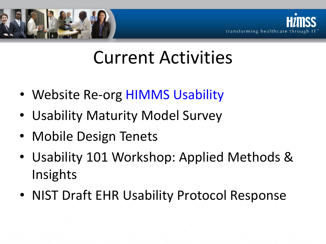



## Current Activities

- Website Re-org **HIMMS** Usability
- Usability Maturity Model Survey
- Mobile Design Tenets
- Usability 101 Workshop: Applied Methods & Insights
- NIST Draft EHR Usability Protocol Response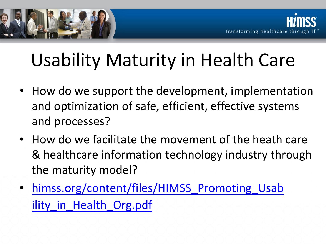

# Usability Maturity in Health Care

- How do we support the development, implementation and optimization of safe, efficient, effective systems and processes?
- How do we facilitate the movement of the heath care & healthcare information technology industry through the maturity model?
- himss.org/content/files/HIMSS\_Promoting Usab ility in Health Org.pdf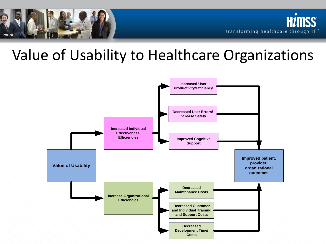

### Value of Usability to Healthcare Organizations

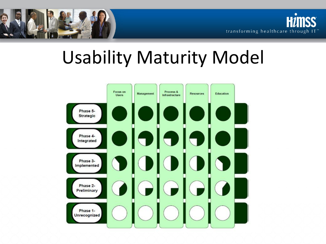



## Usability Maturity Model

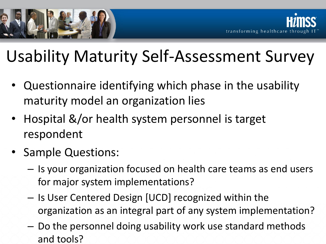

## Usability Maturity Self-Assessment Survey

- Questionnaire identifying which phase in the usability maturity model an organization lies
- Hospital &/or health system personnel is target respondent
- Sample Questions:
	- Is your organization focused on health care teams as end users for major system implementations?
	- Is User Centered Design [UCD] recognized within the organization as an integral part of any system implementation?
	- Do the personnel doing usability work use standard methods and tools?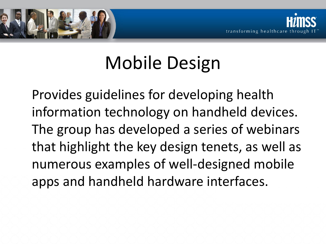

# Mobile Design

Provides guidelines for developing health information technology on handheld devices. The group has developed a series of webinars that highlight the key design tenets, as well as numerous examples of well-designed mobile apps and handheld hardware interfaces.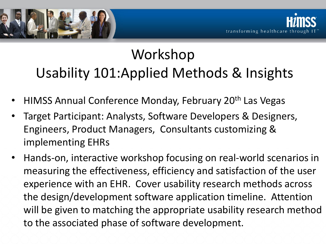

### Workshop Usability 101:Applied Methods & Insights

- HIMSS Annual Conference Monday, February 20<sup>th</sup> Las Vegas
- Target Participant: Analysts, Software Developers & Designers, Engineers, Product Managers, Consultants customizing & implementing EHRs
- Hands-on, interactive workshop focusing on real-world scenarios in measuring the effectiveness, efficiency and satisfaction of the user experience with an EHR. Cover usability research methods across the design/development software application timeline. Attention will be given to matching the appropriate usability research method to the associated phase of software development.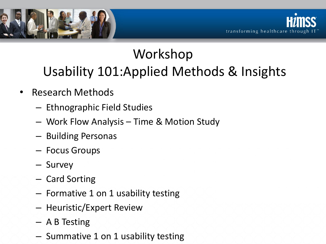

### Workshop Usability 101:Applied Methods & Insights

- Research Methods
	- Ethnographic Field Studies
	- Work Flow Analysis Time & Motion Study
	- Building Personas
	- Focus Groups
	- Survey
	- Card Sorting
	- Formative 1 on 1 usability testing
	- Heuristic/Expert Review
	- A B Testing
	- Summative 1 on 1 usability testing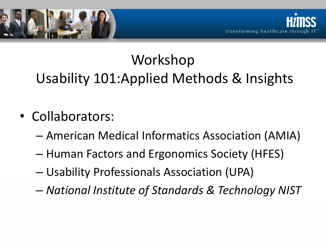

## Workshop Usability 101:Applied Methods & Insights

- Collaborators:
	- American Medical Informatics Association (AMIA)
	- Human Factors and Ergonomics Society (HFES)
	- Usability Professionals Association (UPA)
	- *National Institute of Standards & Technology NIST*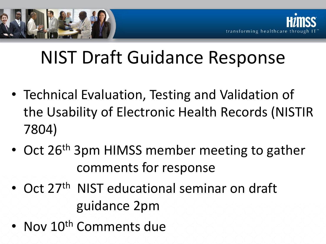

# NIST Draft Guidance Response

- Technical Evaluation, Testing and Validation of the Usability of Electronic Health Records (NISTIR 7804)
- Oct 26<sup>th</sup> 3pm HIMSS member meeting to gather comments for response
- Oct 27<sup>th</sup> NIST educational seminar on draft guidance 2pm
- Nov 10<sup>th</sup> Comments due